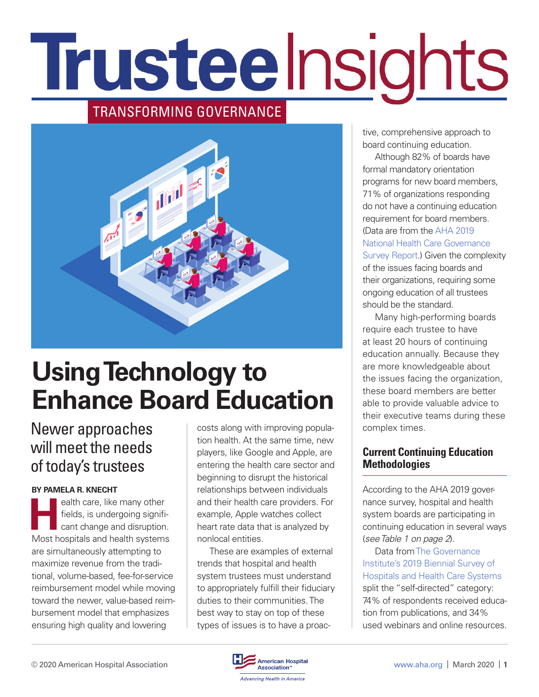# Trusteelnsights

# TRANSFORMING GOVERNANCE



# **Using Technology to Enhance Board Education**

# Newer approaches will meet the needs of today's trustees

#### **BY PAMELA R. KNECHT**

**Health care, like many other<br>fields, is undergoing significant change and disruption<br>Meet beenitels and beelth a reternal** fields, is undergoing significant change and disruption. Most hospitals and health systems are simultaneously attempting to maximize revenue from the traditional, volume-based, fee-for-service reimbursement model while moving toward the newer, value-based reimbursement model that emphasizes ensuring high quality and lowering

costs along with improving population health. At the same time, new players, like Google and Apple, are entering the health care sector and beginning to disrupt the historical relationships between individuals and their health care providers. For example, Apple watches collect heart rate data that is analyzed by nonlocal entities.

These are examples of external trends that hospital and health system trustees must understand to appropriately fulfill their fiduciary duties to their communities. The best way to stay on top of these types of issues is to have a proactive, comprehensive approach to board continuing education.

Although 82% of boards have formal mandatory orientation programs for new board members, 71% of organizations responding do not have a continuing education requirement for board members. (Data are from the [AHA 2019](https://trustees.aha.org/aha-2019-national-health-care-governance-survey-report)  [National Health Care Governance](https://trustees.aha.org/aha-2019-national-health-care-governance-survey-report)  [Survey Report](https://trustees.aha.org/aha-2019-national-health-care-governance-survey-report).) Given the complexity of the issues facing boards and their organizations, requiring some ongoing education of all trustees should be the standard.

Many high-performing boards require each trustee to have at least 20 hours of continuing education annually. Because they are more knowledgeable about the issues facing the organization, these board members are better able to provide valuable advice to their executive teams during these complex times.

#### **Current Continuing Education Methodologies**

According to the AHA 2019 governance survey, hospital and health system boards are participating in continuing education in several ways (*see Table 1 on page 2*).

Data from [The Governance](https://www.governanceinstitute.com/page/BiennialSurvey)  [Institute's 2019 Biennial Survey of](https://www.governanceinstitute.com/page/BiennialSurvey)  [Hospitals and Health Care Systems](https://www.governanceinstitute.com/page/BiennialSurvey)  split the "self-directed" category: 74% of respondents received education from publications, and 34% used webinars and online resources.

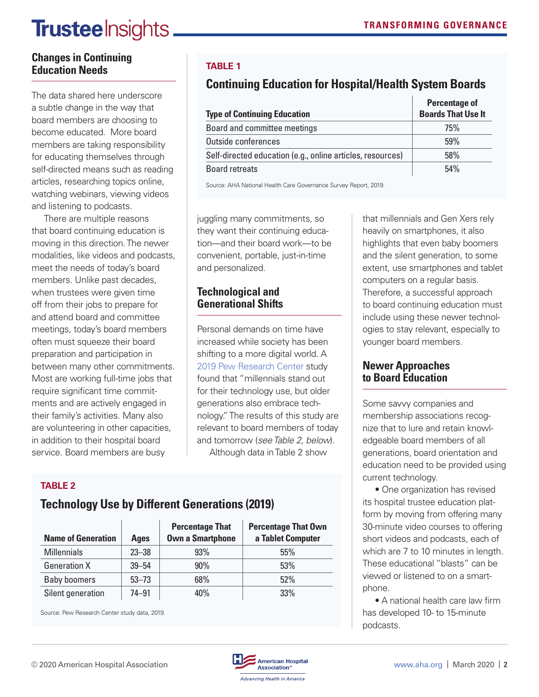# **Trustee** Insights

#### **Changes in Continuing Education Needs**

The data shared here underscore a subtle change in the way that board members are choosing to become educated. More board members are taking responsibility for educating themselves through self-directed means such as reading articles, researching topics online, watching webinars, viewing videos and listening to podcasts.

There are multiple reasons that board continuing education is moving in this direction. The newer modalities, like videos and podcasts, meet the needs of today's board members. Unlike past decades, when trustees were given time off from their jobs to prepare for and attend board and committee meetings, today's board members often must squeeze their board preparation and participation in between many other commitments. Most are working full-time jobs that require significant time commitments and are actively engaged in their family's activities. Many also are volunteering in other capacities, in addition to their hospital board service. Board members are busy

## **TABLE 1**

# **Continuing Education for Hospital/Health System Boards**

|                                                            | <b>Percentage of</b>      |
|------------------------------------------------------------|---------------------------|
| <b>Type of Continuing Education</b>                        | <b>Boards That Use It</b> |
| Board and committee meetings                               | 75%                       |
| Outside conferences                                        | 59%                       |
| Self-directed education (e.g., online articles, resources) | 58%                       |
| <b>Board retreats</b>                                      | 54%                       |

Source: AHA National Health Care Governance Survey Report, 2019.

juggling many commitments, so they want their continuing education—and their board work—to be convenient, portable, just-in-time and personalized.

## **Technological and Generational Shifts**

Personal demands on time have increased while society has been shifting to a more digital world. A [2019 Pew Research Center](https://www.pewresearch.org/fact-tank/2019/09/09/us-generations-technology-use/) study found that "millennials stand out for their technology use, but older generations also embrace technology." The results of this study are relevant to board members of today and tomorrow (*see Table 2, below*). Although data in Table 2 show

## **TABLE 2**

# **Technology Use by Different Generations (2019)**

| <b>Name of Generation</b> | <b>Ages</b> | <b>Percentage That</b><br><b>Own a Smartphone</b> | <b>Percentage That Own</b><br>a Tablet Computer |
|---------------------------|-------------|---------------------------------------------------|-------------------------------------------------|
| <b>Millennials</b>        | $23 - 38$   | 93%                                               | 55%                                             |
| <b>Generation X</b>       | $39 - 54$   | 90%                                               | 53%                                             |
| <b>Baby boomers</b>       | $53 - 73$   | 68%                                               | 52%                                             |
| Silent generation         | $74 - 91$   | 40%                                               | 33%                                             |

Source: Pew Research Center study data, 2019.

that millennials and Gen Xers rely heavily on smartphones, it also highlights that even baby boomers and the silent generation, to some extent, use smartphones and tablet computers on a regular basis. Therefore, a successful approach to board continuing education must include using these newer technologies to stay relevant, especially to younger board members.

## **Newer Approaches to Board Education**

Some savvy companies and membership associations recognize that to lure and retain knowledgeable board members of all generations, board orientation and education need to be provided using current technology.

• One organization has revised its hospital trustee education platform by moving from offering many 30-minute video courses to offering short videos and podcasts, each of which are 7 to 10 minutes in length. These educational "blasts" can be viewed or listened to on a smartphone.

• A national health care law firm has developed 10- to 15-minute podcasts.